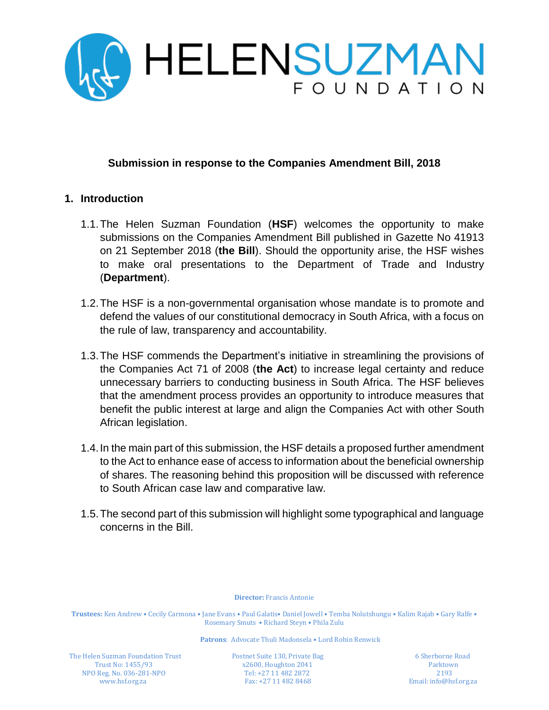

## **Submission in response to the Companies Amendment Bill, 2018**

#### **1. Introduction**

- 1.1.The Helen Suzman Foundation (**HSF**) welcomes the opportunity to make submissions on the Companies Amendment Bill published in Gazette No 41913 on 21 September 2018 (**the Bill**). Should the opportunity arise, the HSF wishes to make oral presentations to the Department of Trade and Industry (**Department**).
- 1.2.The HSF is a non-governmental organisation whose mandate is to promote and defend the values of our constitutional democracy in South Africa, with a focus on the rule of law, transparency and accountability.
- 1.3.The HSF commends the Department's initiative in streamlining the provisions of the Companies Act 71 of 2008 (**the Act**) to increase legal certainty and reduce unnecessary barriers to conducting business in South Africa. The HSF believes that the amendment process provides an opportunity to introduce measures that benefit the public interest at large and align the Companies Act with other South African legislation.
- 1.4.In the main part of this submission, the HSF details a proposed further amendment to the Act to enhance ease of access to information about the beneficial ownership of shares. The reasoning behind this proposition will be discussed with reference to South African case law and comparative law.
- 1.5.The second part of this submission will highlight some typographical and language concerns in the Bill.

**Director:** Francis Antonie

**Trustees:** Ken Andrew • Cecily Carmona • Jane Evans • Paul Galatis• Daniel Jowell • Temba Nolutshungu • Kalim Rajab • Gary Ralfe • Rosemary Smuts • Richard Steyn • Phila Zulu

**Patrons**: Advocate Thuli Madonsela • Lord Robin Renwick

The Helen Suzman Foundation Trust Postnet Suite 130, Private Bag 6 Sherborne Road NPO Reg. No. 036-281-NPO Tel: +27 11 482 2872 2193

Trust No: 1455/93 x2600, Houghton 2041 Parktown<br>  $ORes$  No. 036-281-NPO Tel: +27 11 482 2872 2193 2193 [www.hsf.org.za](http://www.hsf.org.za/) Fax: +27 11 482 8468 Email: info@hsf.org.za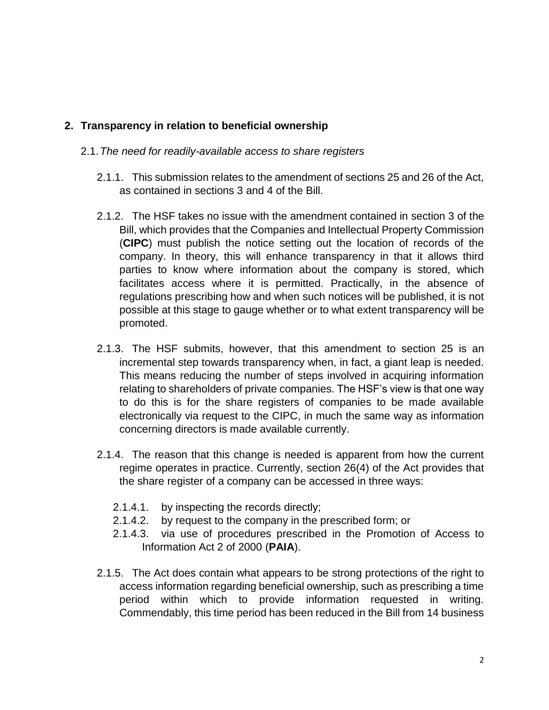# **2. Transparency in relation to beneficial ownership**

- 2.1.*The need for readily-available access to share registers*
	- 2.1.1. This submission relates to the amendment of sections 25 and 26 of the Act, as contained in sections 3 and 4 of the Bill.
	- 2.1.2. The HSF takes no issue with the amendment contained in section 3 of the Bill, which provides that the Companies and Intellectual Property Commission (**CIPC**) must publish the notice setting out the location of records of the company. In theory, this will enhance transparency in that it allows third parties to know where information about the company is stored, which facilitates access where it is permitted. Practically, in the absence of regulations prescribing how and when such notices will be published, it is not possible at this stage to gauge whether or to what extent transparency will be promoted.
	- 2.1.3. The HSF submits, however, that this amendment to section 25 is an incremental step towards transparency when, in fact, a giant leap is needed. This means reducing the number of steps involved in acquiring information relating to shareholders of private companies. The HSF's view is that one way to do this is for the share registers of companies to be made available electronically via request to the CIPC, in much the same way as information concerning directors is made available currently.
	- 2.1.4. The reason that this change is needed is apparent from how the current regime operates in practice. Currently, section 26(4) of the Act provides that the share register of a company can be accessed in three ways:
		- 2.1.4.1. by inspecting the records directly;
		- 2.1.4.2. by request to the company in the prescribed form; or
		- 2.1.4.3. via use of procedures prescribed in the Promotion of Access to Information Act 2 of 2000 (**PAIA**).
	- 2.1.5. The Act does contain what appears to be strong protections of the right to access information regarding beneficial ownership, such as prescribing a time period within which to provide information requested in writing. Commendably, this time period has been reduced in the Bill from 14 business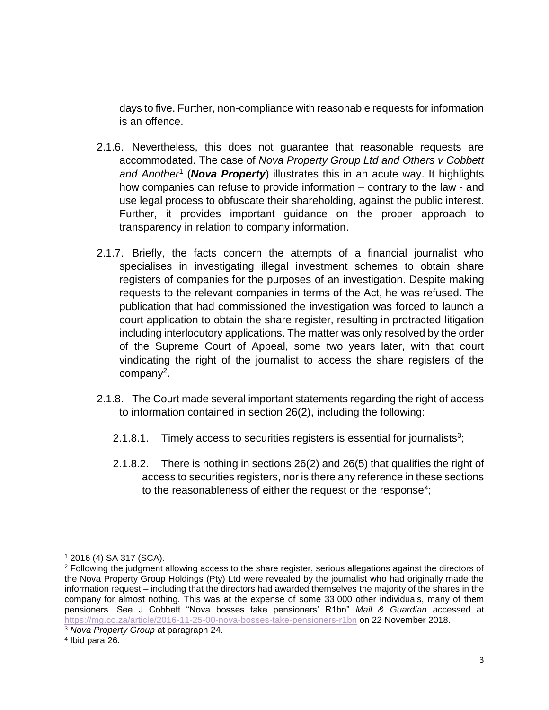days to five. Further, non-compliance with reasonable requests for information is an offence.

- 2.1.6. Nevertheless, this does not guarantee that reasonable requests are accommodated. The case of *Nova Property Group Ltd and Others v Cobbett and Another*<sup>1</sup> (*Nova Property*) illustrates this in an acute way. It highlights how companies can refuse to provide information – contrary to the law - and use legal process to obfuscate their shareholding, against the public interest. Further, it provides important guidance on the proper approach to transparency in relation to company information.
- 2.1.7. Briefly, the facts concern the attempts of a financial journalist who specialises in investigating illegal investment schemes to obtain share registers of companies for the purposes of an investigation. Despite making requests to the relevant companies in terms of the Act, he was refused. The publication that had commissioned the investigation was forced to launch a court application to obtain the share register, resulting in protracted litigation including interlocutory applications. The matter was only resolved by the order of the Supreme Court of Appeal, some two years later, with that court vindicating the right of the journalist to access the share registers of the company<sup>2</sup>.
- 2.1.8. The Court made several important statements regarding the right of access to information contained in section 26(2), including the following:
	- 2.1.8.1. Timely access to securities registers is essential for journalists<sup>3</sup>;
	- 2.1.8.2. There is nothing in sections 26(2) and 26(5) that qualifies the right of access to securities registers, nor is there any reference in these sections to the reasonableness of either the request or the response<sup>4</sup>;

 $\overline{a}$ 

<sup>1</sup> 2016 (4) SA 317 (SCA).

<sup>&</sup>lt;sup>2</sup> Following the judgment allowing access to the share register, serious allegations against the directors of the Nova Property Group Holdings (Pty) Ltd were revealed by the journalist who had originally made the information request – including that the directors had awarded themselves the majority of the shares in the company for almost nothing. This was at the expense of some 33 000 other individuals, many of them pensioners. See J Cobbett "Nova bosses take pensioners' R1bn" *Mail & Guardian* accessed at <https://mg.co.za/article/2016-11-25-00-nova-bosses-take-pensioners-r1bn> on 22 November 2018.

<sup>3</sup> *Nova Property Group* at paragraph 24.

<sup>4</sup> Ibid para 26.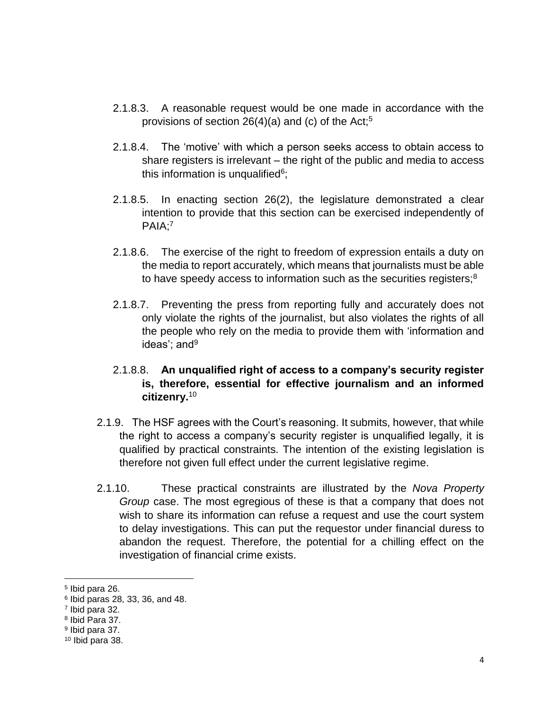- 2.1.8.3. A reasonable request would be one made in accordance with the provisions of section  $26(4)(a)$  and (c) of the Act;<sup>5</sup>
- 2.1.8.4. The 'motive' with which a person seeks access to obtain access to share registers is irrelevant – the right of the public and media to access this information is unqualified $6$ ;
- 2.1.8.5. In enacting section 26(2), the legislature demonstrated a clear intention to provide that this section can be exercised independently of PAIA;<sup>7</sup>
- 2.1.8.6. The exercise of the right to freedom of expression entails a duty on the media to report accurately, which means that journalists must be able to have speedy access to information such as the securities registers;<sup>8</sup>
- 2.1.8.7. Preventing the press from reporting fully and accurately does not only violate the rights of the journalist, but also violates the rights of all the people who rely on the media to provide them with 'information and ideas'; and $9$

## 2.1.8.8. **An unqualified right of access to a company's security register is, therefore, essential for effective journalism and an informed citizenry.**<sup>10</sup>

- 2.1.9. The HSF agrees with the Court's reasoning. It submits, however, that while the right to access a company's security register is unqualified legally, it is qualified by practical constraints. The intention of the existing legislation is therefore not given full effect under the current legislative regime.
- 2.1.10. These practical constraints are illustrated by the *Nova Property Group* case. The most egregious of these is that a company that does not wish to share its information can refuse a request and use the court system to delay investigations. This can put the requestor under financial duress to abandon the request. Therefore, the potential for a chilling effect on the investigation of financial crime exists.

 $\overline{a}$ 

<sup>5</sup> Ibid para 26.

<sup>6</sup> Ibid paras 28, 33, 36, and 48.

<sup>7</sup> Ibid para 32.

<sup>8</sup> Ibid Para 37.

<sup>&</sup>lt;sup>9</sup> Ibid para 37.

<sup>10</sup> Ibid para 38.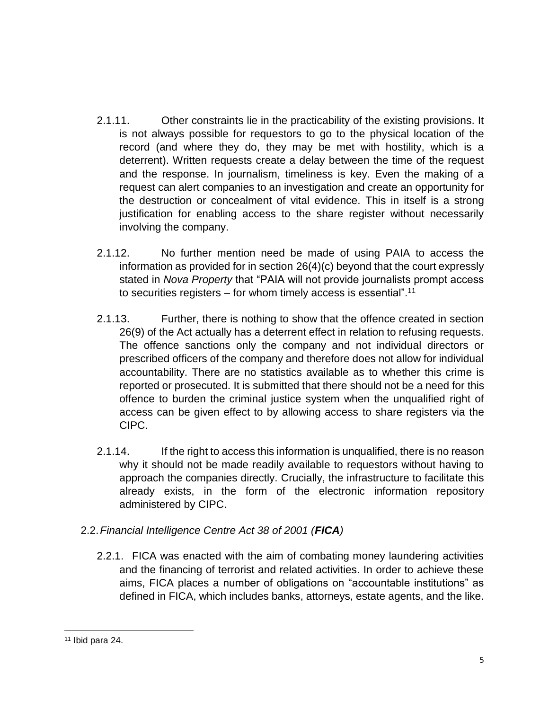- 2.1.11. Other constraints lie in the practicability of the existing provisions. It is not always possible for requestors to go to the physical location of the record (and where they do, they may be met with hostility, which is a deterrent). Written requests create a delay between the time of the request and the response. In journalism, timeliness is key. Even the making of a request can alert companies to an investigation and create an opportunity for the destruction or concealment of vital evidence. This in itself is a strong justification for enabling access to the share register without necessarily involving the company.
- 2.1.12. No further mention need be made of using PAIA to access the information as provided for in section 26(4)(c) beyond that the court expressly stated in *Nova Property* that "PAIA will not provide journalists prompt access to securities registers – for whom timely access is essential".<sup>11</sup>
- 2.1.13. Further, there is nothing to show that the offence created in section 26(9) of the Act actually has a deterrent effect in relation to refusing requests. The offence sanctions only the company and not individual directors or prescribed officers of the company and therefore does not allow for individual accountability. There are no statistics available as to whether this crime is reported or prosecuted. It is submitted that there should not be a need for this offence to burden the criminal justice system when the unqualified right of access can be given effect to by allowing access to share registers via the CIPC.
- 2.1.14. If the right to access this information is unqualified, there is no reason why it should not be made readily available to requestors without having to approach the companies directly. Crucially, the infrastructure to facilitate this already exists, in the form of the electronic information repository administered by CIPC.

# 2.2.*Financial Intelligence Centre Act 38 of 2001 (FICA)*

2.2.1. FICA was enacted with the aim of combating money laundering activities and the financing of terrorist and related activities. In order to achieve these aims, FICA places a number of obligations on "accountable institutions" as defined in FICA, which includes banks, attorneys, estate agents, and the like.

 $\overline{a}$ <sup>11</sup> Ibid para 24.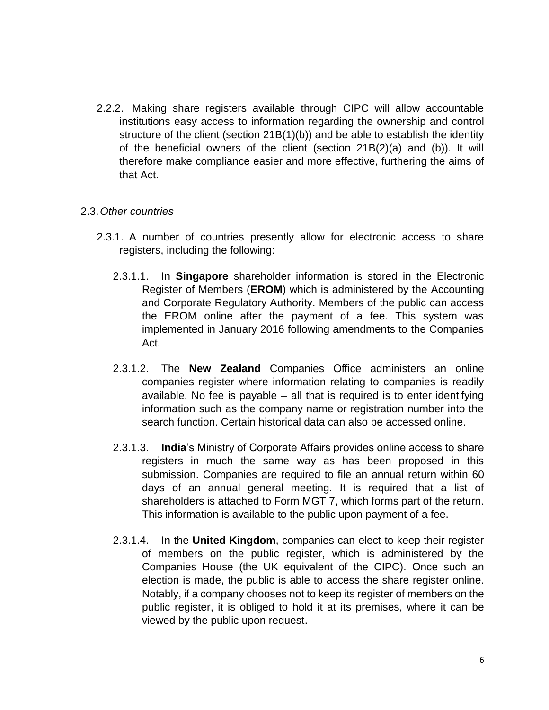2.2.2. Making share registers available through CIPC will allow accountable institutions easy access to information regarding the ownership and control structure of the client (section 21B(1)(b)) and be able to establish the identity of the beneficial owners of the client (section 21B(2)(a) and (b)). It will therefore make compliance easier and more effective, furthering the aims of that Act.

#### 2.3.*Other countries*

- 2.3.1. A number of countries presently allow for electronic access to share registers, including the following:
	- 2.3.1.1. In **Singapore** shareholder information is stored in the Electronic Register of Members (**EROM**) which is administered by the Accounting and Corporate Regulatory Authority. Members of the public can access the EROM online after the payment of a fee. This system was implemented in January 2016 following amendments to the Companies Act.
	- 2.3.1.2. The **New Zealand** Companies Office administers an online companies register where information relating to companies is readily available. No fee is payable – all that is required is to enter identifying information such as the company name or registration number into the search function. Certain historical data can also be accessed online.
	- 2.3.1.3. **India**'s Ministry of Corporate Affairs provides online access to share registers in much the same way as has been proposed in this submission. Companies are required to file an annual return within 60 days of an annual general meeting. It is required that a list of shareholders is attached to Form MGT 7, which forms part of the return. This information is available to the public upon payment of a fee.
	- 2.3.1.4. In the **United Kingdom**, companies can elect to keep their register of members on the public register, which is administered by the Companies House (the UK equivalent of the CIPC). Once such an election is made, the public is able to access the share register online. Notably, if a company chooses not to keep its register of members on the public register, it is obliged to hold it at its premises, where it can be viewed by the public upon request.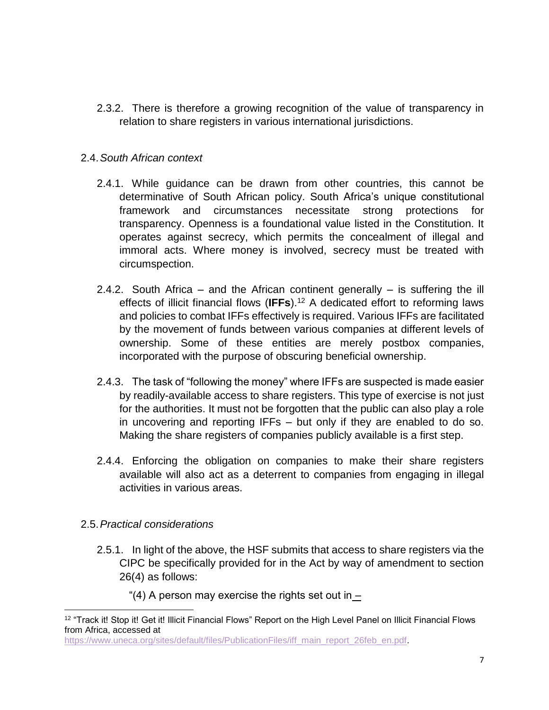2.3.2. There is therefore a growing recognition of the value of transparency in relation to share registers in various international jurisdictions.

## 2.4.*South African context*

- 2.4.1. While guidance can be drawn from other countries, this cannot be determinative of South African policy. South Africa's unique constitutional framework and circumstances necessitate strong protections for transparency. Openness is a foundational value listed in the Constitution. It operates against secrecy, which permits the concealment of illegal and immoral acts. Where money is involved, secrecy must be treated with circumspection.
- 2.4.2. South Africa and the African continent generally is suffering the ill effects of illicit financial flows (**IFFs**). <sup>12</sup> A dedicated effort to reforming laws and policies to combat IFFs effectively is required. Various IFFs are facilitated by the movement of funds between various companies at different levels of ownership. Some of these entities are merely postbox companies, incorporated with the purpose of obscuring beneficial ownership.
- 2.4.3. The task of "following the money" where IFFs are suspected is made easier by readily-available access to share registers. This type of exercise is not just for the authorities. It must not be forgotten that the public can also play a role in uncovering and reporting IFFs – but only if they are enabled to do so. Making the share registers of companies publicly available is a first step.
- 2.4.4. Enforcing the obligation on companies to make their share registers available will also act as a deterrent to companies from engaging in illegal activities in various areas.

# 2.5.*Practical considerations*

 $\overline{a}$ 

2.5.1. In light of the above, the HSF submits that access to share registers via the CIPC be specifically provided for in the Act by way of amendment to section 26(4) as follows:

"(4) A person may exercise the rights set out in  $-$ 

<sup>&</sup>lt;sup>12</sup> "Track it! Stop it! Get it! Illicit Financial Flows" Report on the High Level Panel on Illicit Financial Flows from Africa, accessed at

https://www.uneca.org/sites/default/files/PublicationFiles/iff\_main\_report\_26feb\_en.pdf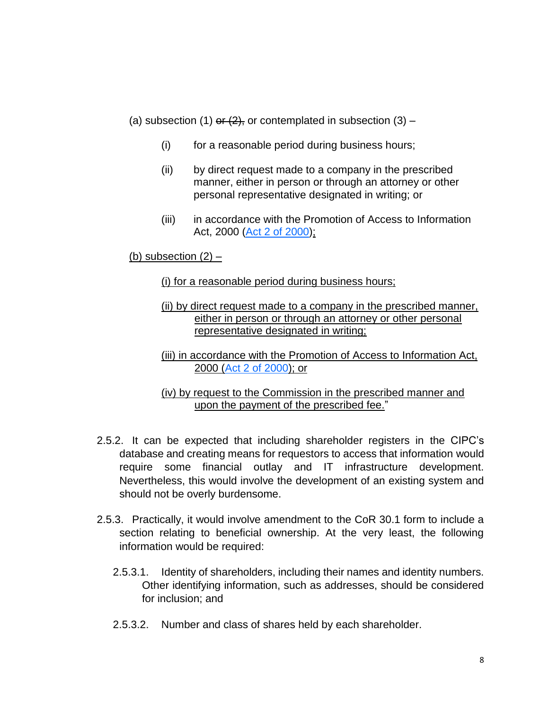- (a) subsection (1) or  $(2)$ , or contemplated in subsection (3)
	- (i) for a reasonable period during business hours;
	- (ii) by direct request made to a company in the prescribed manner, either in person or through an attorney or other personal representative designated in writing; or
	- (iii) in accordance with the Promotion of Access to Information Act, 2000 [\(Act 2 of](http://ipproducts.jutalaw.co.za.nwulib.nwu.ac.za/nxt/foliolinks.asp?f=xhitlist&xhitlist_x=Advanced&xhitlist_vpc=first&xhitlist_xsl=querylink.xsl&xhitlist_sel=title;path;content-type;home-title&xhitlist_d=%7bstatreg%7d&xhitlist_q=%5bfield%20folio-destination-name:%27a2y2000%27%5d&xhitlist_md=target-id=0-0-0-13655) 2000);

(b) subsection  $(2)$  –

(i) for a reasonable period during business hours;

(ii) by direct request made to a company in the prescribed manner, either in person or through an attorney or other personal representative designated in writing;

(iii) in accordance with the Promotion of Access to Information Act, 2000 [\(Act 2 of 2000\)](http://ipproducts.jutalaw.co.za.nwulib.nwu.ac.za/nxt/foliolinks.asp?f=xhitlist&xhitlist_x=Advanced&xhitlist_vpc=first&xhitlist_xsl=querylink.xsl&xhitlist_sel=title;path;content-type;home-title&xhitlist_d=%7bstatreg%7d&xhitlist_q=%5bfield%20folio-destination-name:%27a2y2000%27%5d&xhitlist_md=target-id=0-0-0-13655); or

(iv) by request to the Commission in the prescribed manner and upon the payment of the prescribed fee."

- 2.5.2. It can be expected that including shareholder registers in the CIPC's database and creating means for requestors to access that information would require some financial outlay and IT infrastructure development. Nevertheless, this would involve the development of an existing system and should not be overly burdensome.
- 2.5.3. Practically, it would involve amendment to the CoR 30.1 form to include a section relating to beneficial ownership. At the very least, the following information would be required:
	- 2.5.3.1. Identity of shareholders, including their names and identity numbers. Other identifying information, such as addresses, should be considered for inclusion; and
	- 2.5.3.2. Number and class of shares held by each shareholder.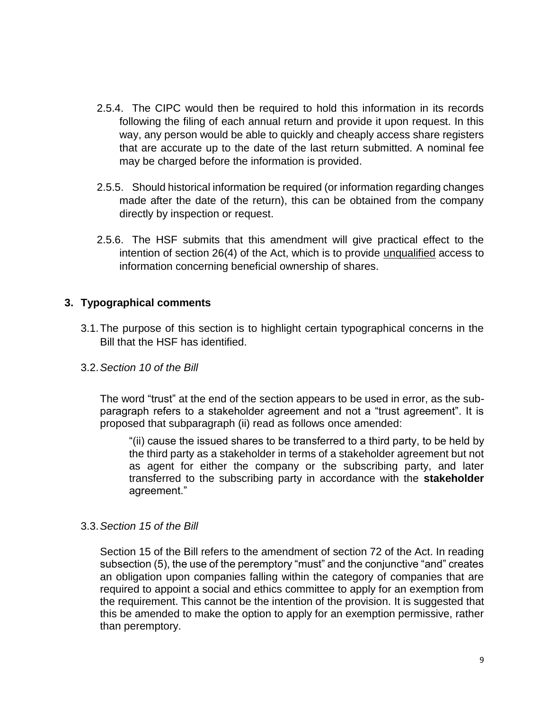- 2.5.4. The CIPC would then be required to hold this information in its records following the filing of each annual return and provide it upon request. In this way, any person would be able to quickly and cheaply access share registers that are accurate up to the date of the last return submitted. A nominal fee may be charged before the information is provided.
- 2.5.5. Should historical information be required (or information regarding changes made after the date of the return), this can be obtained from the company directly by inspection or request.
- 2.5.6. The HSF submits that this amendment will give practical effect to the intention of section 26(4) of the Act, which is to provide unqualified access to information concerning beneficial ownership of shares.

## **3. Typographical comments**

- 3.1.The purpose of this section is to highlight certain typographical concerns in the Bill that the HSF has identified.
- 3.2.*Section 10 of the Bill*

The word "trust" at the end of the section appears to be used in error, as the subparagraph refers to a stakeholder agreement and not a "trust agreement". It is proposed that subparagraph (ii) read as follows once amended:

"(ii) cause the issued shares to be transferred to a third party, to be held by the third party as a stakeholder in terms of a stakeholder agreement but not as agent for either the company or the subscribing party, and later transferred to the subscribing party in accordance with the **stakeholder** agreement."

#### 3.3.*Section 15 of the Bill*

Section 15 of the Bill refers to the amendment of section 72 of the Act. In reading subsection (5), the use of the peremptory "must" and the conjunctive "and" creates an obligation upon companies falling within the category of companies that are required to appoint a social and ethics committee to apply for an exemption from the requirement. This cannot be the intention of the provision. It is suggested that this be amended to make the option to apply for an exemption permissive, rather than peremptory.